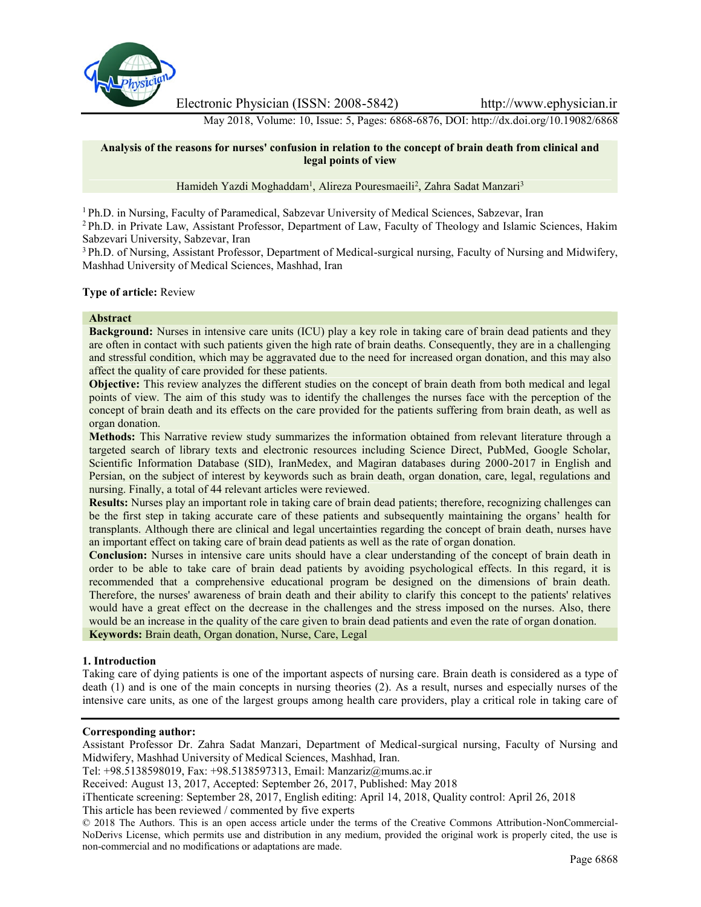

Electronic Physician (ISSN: 2008-5842) http://www.ephysician.ir

May 2018, Volume: 10, Issue: 5, Pages: 6868-6876, DOI: http://dx.doi.org/10.19082/6868

### **Analysis of the reasons for nurses' confusion in relation to the concept of brain death from clinical and legal points of view**

Hamideh Yazdi Moghaddam<sup>1</sup>, Alireza Pouresmaeili<sup>2</sup>, Zahra Sadat Manzari<sup>3</sup>

<sup>1</sup> Ph.D. in Nursing, Faculty of Paramedical, Sabzevar University of Medical Sciences, Sabzevar, Iran

<sup>2</sup> Ph.D. in Private Law, Assistant Professor, Department of Law, Faculty of Theology and Islamic Sciences, Hakim Sabzevari University, Sabzevar, Iran

<sup>3</sup> Ph.D. of Nursing, Assistant Professor, Department of Medical-surgical nursing, Faculty of Nursing and Midwifery, Mashhad University of Medical Sciences, Mashhad, Iran

### **Type of article:** Review

### **Abstract**

**Background:** Nurses in intensive care units (ICU) play a key role in taking care of brain dead patients and they are often in contact with such patients given the high rate of brain deaths. Consequently, they are in a challenging and stressful condition, which may be aggravated due to the need for increased organ donation, and this may also affect the quality of care provided for these patients.

**Objective:** This review analyzes the different studies on the concept of brain death from both medical and legal points of view. The aim of this study was to identify the challenges the nurses face with the perception of the concept of brain death and its effects on the care provided for the patients suffering from brain death, as well as organ donation.

**Methods:** This Narrative review study summarizes the information obtained from relevant literature through a targeted search of library texts and electronic resources including Science Direct, PubMed, Google Scholar, Scientific Information Database (SID), IranMedex, and Magiran databases during 2000-2017 in English and Persian, on the subject of interest by keywords such as brain death, organ donation, care, legal, regulations and nursing. Finally, a total of 44 relevant articles were reviewed.

**Results:** Nurses play an important role in taking care of brain dead patients; therefore, recognizing challenges can be the first step in taking accurate care of these patients and subsequently maintaining the organs' health for transplants. Although there are clinical and legal uncertainties regarding the concept of brain death, nurses have an important effect on taking care of brain dead patients as well as the rate of organ donation.

**Conclusion:** Nurses in intensive care units should have a clear understanding of the concept of brain death in order to be able to take care of brain dead patients by avoiding psychological effects. In this regard, it is recommended that a comprehensive educational program be designed on the dimensions of brain death. Therefore, the nurses' awareness of brain death and their ability to clarify this concept to the patients' relatives would have a great effect on the decrease in the challenges and the stress imposed on the nurses. Also, there would be an increase in the quality of the care given to brain dead patients and even the rate of organ donation. **Keywords:** Brain death, Organ donation, Nurse, Care, Legal

# **1. Introduction**

Taking care of dying patients is one of the important aspects of nursing care. Brain death is considered as a type of death (1) and is one of the main concepts in nursing theories (2). As a result, nurses and especially nurses of the intensive care units, as one of the largest groups among health care providers, play a critical role in taking care of

#### **Corresponding author:**

Assistant Professor Dr. Zahra Sadat Manzari, Department of Medical-surgical nursing, Faculty of Nursing and Midwifery, Mashhad University of Medical Sciences, Mashhad, Iran.

Tel: +98.5138598019, Fax: +98.5138597313, Email: Manzariz@mums.ac.ir

Received: August 13, 2017, Accepted: September 26, 2017, Published: May 2018

iThenticate screening: September 28, 2017, English editing: April 14, 2018, Quality control: April 26, 2018

This article has been reviewed / commented by five experts

© 2018 The Authors. This is an open access article under the terms of the Creative Commons Attribution-NonCommercial- NoDerivs License, which permits use and distribution in any medium, provided the original work is properly cited, the use is non-commercial and no modifications or adaptations are made.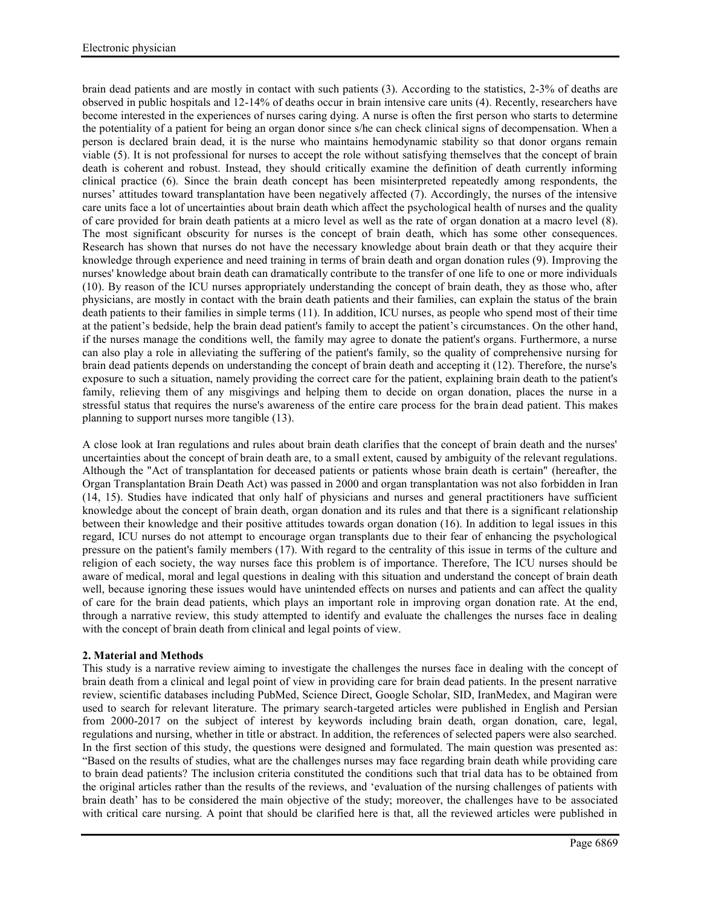brain dead patients and are mostly in contact with such patients (3). According to the statistics, 2-3% of deaths are observed in public hospitals and 12-14% of deaths occur in brain intensive care units (4). Recently, researchers have become interested in the experiences of nurses caring dying. A nurse is often the first person who starts to determine the potentiality of a patient for being an organ donor since s/he can check clinical signs of decompensation. When a person is declared brain dead, it is the nurse who maintains hemodynamic stability so that donor organs remain viable (5). It is not professional for nurses to accept the role without satisfying themselves that the concept of brain death is coherent and robust. Instead, they should critically examine the definition of death currently informing clinical practice (6). Since the brain death concept has been misinterpreted repeatedly among respondents, the nurses' attitudes toward transplantation have been negatively affected (7). Accordingly, the nurses of the intensive care units face a lot of uncertainties about brain death which affect the psychological health of nurses and the quality of care provided for brain death patients at a micro level as well as the rate of organ donation at a macro level (8). The most significant obscurity for nurses is the concept of brain death, which has some other consequences. Research has shown that nurses do not have the necessary knowledge about brain death or that they acquire their knowledge through experience and need training in terms of brain death and organ donation rules (9). Improving the nurses' knowledge about brain death can dramatically contribute to the transfer of one life to one or more individuals (10). By reason of the ICU nurses appropriately understanding the concept of brain death, they as those who, after physicians, are mostly in contact with the brain death patients and their families, can explain the status of the brain death patients to their families in simple terms (11). In addition, ICU nurses, as people who spend most of their time at the patient's bedside, help the brain dead patient's family to accept the patient's circumstances. On the other hand, if the nurses manage the conditions well, the family may agree to donate the patient's organs. Furthermore, a nurse can also play a role in alleviating the suffering of the patient's family, so the quality of comprehensive nursing for brain dead patients depends on understanding the concept of brain death and accepting it (12). Therefore, the nurse's exposure to such a situation, namely providing the correct care for the patient, explaining brain death to the patient's family, relieving them of any misgivings and helping them to decide on organ donation, places the nurse in a stressful status that requires the nurse's awareness of the entire care process for the brain dead patient. This makes planning to support nurses more tangible (13).

A close look at Iran regulations and rules about brain death clarifies that the concept of brain death and the nurses' uncertainties about the concept of brain death are, to a small extent, caused by ambiguity of the relevant regulations. Although the "Act of transplantation for deceased patients or patients whose brain death is certain" (hereafter, the Organ Transplantation Brain Death Act) was passed in 2000 and organ transplantation was not also forbidden in Iran (14, 15). Studies have indicated that only half of physicians and nurses and general practitioners have sufficient knowledge about the concept of brain death, organ donation and its rules and that there is a significant relationship between their knowledge and their positive attitudes towards organ donation (16). In addition to legal issues in this regard, ICU nurses do not attempt to encourage organ transplants due to their fear of enhancing the psychological pressure on the patient's family members (17). With regard to the centrality of this issue in terms of the culture and religion of each society, the way nurses face this problem is of importance. Therefore, The ICU nurses should be aware of medical, moral and legal questions in dealing with this situation and understand the concept of brain death well, because ignoring these issues would have unintended effects on nurses and patients and can affect the quality of care for the brain dead patients, which plays an important role in improving organ donation rate. At the end, through a narrative review, this study attempted to identify and evaluate the challenges the nurses face in dealing with the concept of brain death from clinical and legal points of view.

# **2. Material and Methods**

This study is a narrative review aiming to investigate the challenges the nurses face in dealing with the concept of brain death from a clinical and legal point of view in providing care for brain dead patients. In the present narrative review, scientific databases including PubMed, Science Direct, Google Scholar, SID, IranMedex, and Magiran were used to search for relevant literature. The primary search-targeted articles were published in English and Persian from 2000-2017 on the subject of interest by keywords including brain death, organ donation, care, legal, regulations and nursing, whether in title or abstract. In addition, the references of selected papers were also searched. In the first section of this study, the questions were designed and formulated. The main question was presented as: "Based on the results of studies, what are the challenges nurses may face regarding brain death while providing care to brain dead patients? The inclusion criteria constituted the conditions such that trial data has to be obtained from the original articles rather than the results of the reviews, and 'evaluation of the nursing challenges of patients with brain death' has to be considered the main objective of the study; moreover, the challenges have to be associated with critical care nursing. A point that should be clarified here is that, all the reviewed articles were published in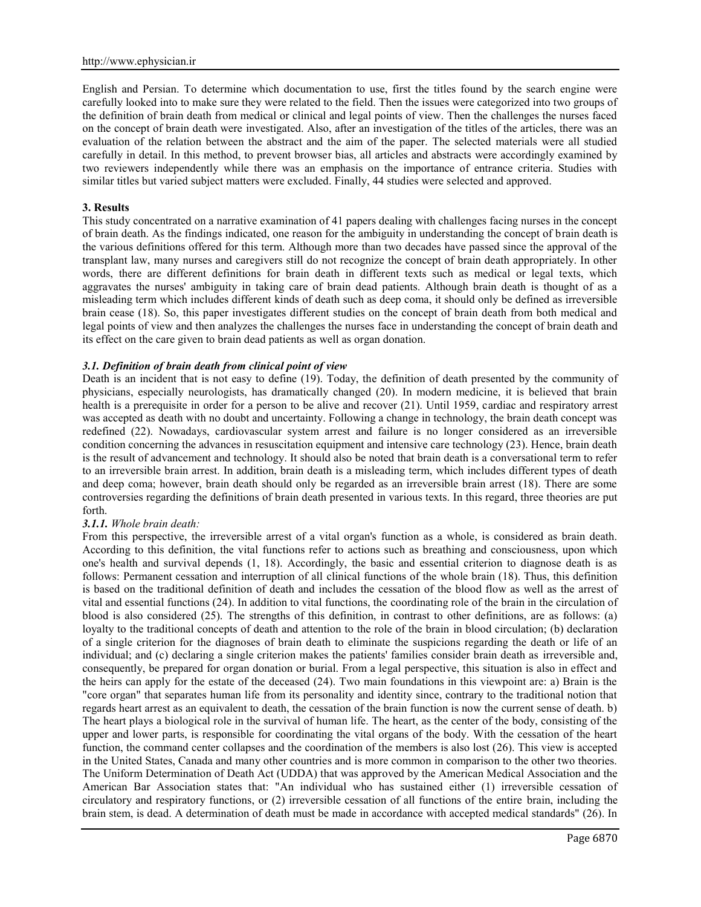English and Persian. To determine which documentation to use, first the titles found by the search engine were carefully looked into to make sure they were related to the field. Then the issues were categorized into two groups of the definition of brain death from medical or clinical and legal points of view. Then the challenges the nurses faced on the concept of brain death were investigated. Also, after an investigation of the titles of the articles, there was an evaluation of the relation between the abstract and the aim of the paper. The selected materials were all studied carefully in detail. In this method, to prevent browser bias, all articles and abstracts were accordingly examined by two reviewers independently while there was an emphasis on the importance of entrance criteria. Studies with similar titles but varied subject matters were excluded. Finally, 44 studies were selected and approved.

### **3. Results**

This study concentrated on a narrative examination of 41 papers dealing with challenges facing nurses in the concept of brain death. As the findings indicated, one reason for the ambiguity in understanding the concept of brain death is the various definitions offered for this term. Although more than two decades have passed since the approval of the transplant law, many nurses and caregivers still do not recognize the concept of brain death appropriately. In other words, there are different definitions for brain death in different texts such as medical or legal texts, which aggravates the nurses' ambiguity in taking care of brain dead patients. Although brain death is thought of as a misleading term which includes different kinds of death such as deep coma, it should only be defined as irreversible brain cease (18). So, this paper investigates different studies on the concept of brain death from both medical and legal points of view and then analyzes the challenges the nurses face in understanding the concept of brain death and its effect on the care given to brain dead patients as well as organ donation.

### *3.1. Definition of brain death from clinical point of view*

Death is an incident that is not easy to define (19). Today, the definition of death presented by the community of physicians, especially neurologists, has dramatically changed (20). In modern medicine, it is believed that brain health is a prerequisite in order for a person to be alive and recover (21). Until 1959, cardiac and respiratory arrest was accepted as death with no doubt and uncertainty. Following a change in technology, the brain death concept was redefined (22). Nowadays, cardiovascular system arrest and failure is no longer considered as an irreversible condition concerning the advances in resuscitation equipment and intensive care technology (23). Hence, brain death is the result of advancement and technology. It should also be noted that brain death is a conversational term to refer to an irreversible brain arrest. In addition, brain death is a misleading term, which includes different types of death and deep coma; however, brain death should only be regarded as an irreversible brain arrest (18). There are some controversies regarding the definitions of brain death presented in various texts. In this regard, three theories are put forth.

#### *3.1.1. Whole brain death:*

From this perspective, the irreversible arrest of a vital organ's function as a whole, is considered as brain death. According to this definition, the vital functions refer to actions such as breathing and consciousness, upon which one's health and survival depends (1, 18). Accordingly, the basic and essential criterion to diagnose death is as follows: Permanent cessation and interruption of all clinical functions of the whole brain (18). Thus, this definition is based on the traditional definition of death and includes the cessation of the blood flow as well as the arrest of vital and essential functions (24). In addition to vital functions, the coordinating role of the brain in the circulation of blood is also considered (25). The strengths of this definition, in contrast to other definitions, are as follows: (a) loyalty to the traditional concepts of death and attention to the role of the brain in blood circulation; (b) declaration of a single criterion for the diagnoses of brain death to eliminate the suspicions regarding the death or life of an individual; and (c) declaring a single criterion makes the patients' families consider brain death as irreversible and, consequently, be prepared for organ donation or burial. From a legal perspective, this situation is also in effect and the heirs can apply for the estate of the deceased (24). Two main foundations in this viewpoint are: a) Brain is the "core organ" that separates human life from its personality and identity since, contrary to the traditional notion that regards heart arrest as an equivalent to death, the cessation of the brain function is now the current sense of death. b) The heart plays a biological role in the survival of human life. The heart, as the center of the body, consisting of the upper and lower parts, is responsible for coordinating the vital organs of the body. With the cessation of the heart function, the command center collapses and the coordination of the members is also lost (26). This view is accepted in the United States, Canada and many other countries and is more common in comparison to the other two theories. The Uniform Determination of Death Act (UDDA) that was approved by the American Medical Association and the American Bar Association states that: "An individual who has sustained either (1) irreversible cessation of circulatory and respiratory functions, or (2) irreversible cessation of all functions of the entire brain, including the brain stem, is dead. A determination of death must be made in accordance with accepted medical standards" (26). In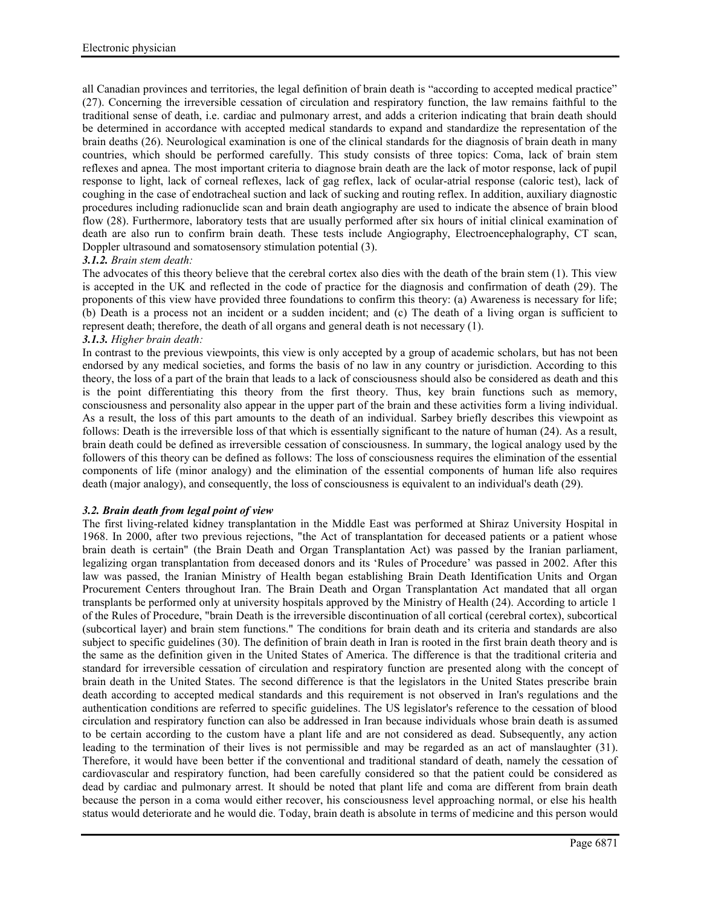all Canadian provinces and territories, the legal definition of brain death is "according to accepted medical practice" (27). Concerning the irreversible cessation of circulation and respiratory function, the law remains faithful to the traditional sense of death, i.e. cardiac and pulmonary arrest, and adds a criterion indicating that brain death should be determined in accordance with accepted medical standards to expand and standardize the representation of the brain deaths (26). Neurological examination is one of the clinical standards for the diagnosis of brain death in many countries, which should be performed carefully. This study consists of three topics: Coma, lack of brain stem reflexes and apnea. The most important criteria to diagnose brain death are the lack of motor response, lack of pupil response to light, lack of corneal reflexes, lack of gag reflex, lack of ocular-atrial response (caloric test), lack of coughing in the case of endotracheal suction and lack of sucking and routing reflex. In addition, auxiliary diagnostic procedures including radionuclide scan and brain death angiography are used to indicate the absence of brain blood flow (28). Furthermore, laboratory tests that are usually performed after six hours of initial clinical examination of death are also run to confirm brain death. These tests include Angiography, Electroencephalography, CT scan, Doppler ultrasound and somatosensory stimulation potential (3).

# *3.1.2. Brain stem death:*

The advocates of this theory believe that the cerebral cortex also dies with the death of the brain stem (1). This view is accepted in the UK and reflected in the code of practice for the diagnosis and confirmation of death (29). The proponents of this view have provided three foundations to confirm this theory: (a) Awareness is necessary for life; (b) Death is a process not an incident or a sudden incident; and (c) The death of a living organ is sufficient to represent death; therefore, the death of all organs and general death is not necessary (1). *3.1.3. Higher brain death:*

In contrast to the previous viewpoints, this view is only accepted by a group of academic scholars, but has not been endorsed by any medical societies, and forms the basis of no law in any country or jurisdiction. According to this theory, the loss of a part of the brain that leads to a lack of consciousness should also be considered as death and this is the point differentiating this theory from the first theory. Thus, key brain functions such as memory, consciousness and personality also appear in the upper part of the brain and these activities form a living individual. As a result, the loss of this part amounts to the death of an individual. Sarbey briefly describes this viewpoint as follows: Death is the irreversible loss of that which is essentially significant to the nature of human (24). As a result, brain death could be defined as irreversible cessation of consciousness. In summary, the logical analogy used by the followers of this theory can be defined as follows: The loss of consciousness requires the elimination of the essential components of life (minor analogy) and the elimination of the essential components of human life also requires death (major analogy), and consequently, the loss of consciousness is equivalent to an individual's death (29).

# *3.2. Brain death from legal point of view*

The first living-related kidney transplantation in the Middle East was performed at Shiraz University Hospital in 1968. In 2000, after two previous rejections, "the Act of transplantation for deceased patients or a patient whose brain death is certain" (the Brain Death and Organ Transplantation Act) was passed by the Iranian parliament, legalizing organ transplantation from deceased donors and its 'Rules of Procedure' was passed in 2002. After this law was passed, the Iranian Ministry of Health began establishing Brain Death Identification Units and Organ Procurement Centers throughout Iran. The Brain Death and Organ Transplantation Act mandated that all organ transplants be performed only at university hospitals approved by the Ministry of Health (24). According to article 1 of the Rules of Procedure, "brain Death is the irreversible discontinuation of all cortical (cerebral cortex), subcortical (subcortical layer) and brain stem functions." The conditions for brain death and its criteria and standards are also subject to specific guidelines (30). The definition of brain death in Iran is rooted in the first brain death theory and is the same as the definition given in the United States of America. The difference is that the traditional criteria and standard for irreversible cessation of circulation and respiratory function are presented along with the concept of brain death in the United States. The second difference is that the legislators in the United States prescribe brain death according to accepted medical standards and this requirement is not observed in Iran's regulations and the authentication conditions are referred to specific guidelines. The US legislator's reference to the cessation of blood circulation and respiratory function can also be addressed in Iran because individuals whose brain death is assumed to be certain according to the custom have a plant life and are not considered as dead. Subsequently, any action leading to the termination of their lives is not permissible and may be regarded as an act of manslaughter (31). Therefore, it would have been better if the conventional and traditional standard of death, namely the cessation of cardiovascular and respiratory function, had been carefully considered so that the patient could be considered as dead by cardiac and pulmonary arrest. It should be noted that plant life and coma are different from brain death because the person in a coma would either recover, his consciousness level approaching normal, or else his health status would deteriorate and he would die. Today, brain death is absolute in terms of medicine and this person would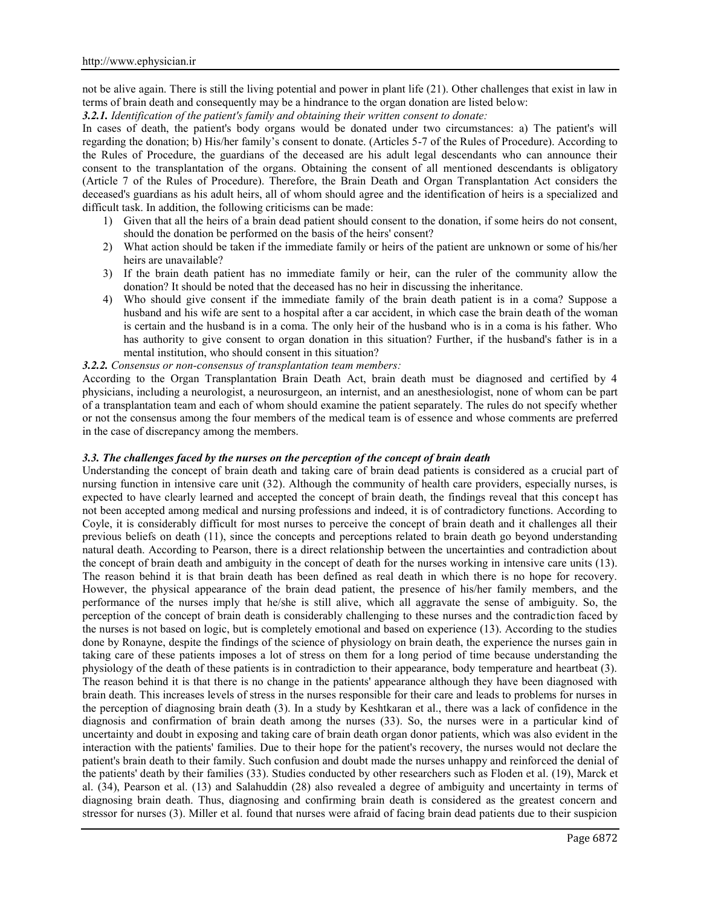not be alive again. There is still the living potential and power in plant life (21). Other challenges that exist in law in terms of brain death and consequently may be a hindrance to the organ donation are listed below:

*3.2.1. Identification of the patient's family and obtaining their written consent to donate:*

In cases of death, the patient's body organs would be donated under two circumstances: a) The patient's will regarding the donation; b) His/her family's consent to donate. (Articles 5-7 of the Rules of Procedure). According to the Rules of Procedure, the guardians of the deceased are his adult legal descendants who can announce their consent to the transplantation of the organs. Obtaining the consent of all mentioned descendants is obligatory (Article 7 of the Rules of Procedure). Therefore, the Brain Death and Organ Transplantation Act considers the deceased's guardians as his adult heirs, all of whom should agree and the identification of heirs is a specialized and difficult task. In addition, the following criticisms can be made:

- 1) Given that all the heirs of a brain dead patient should consent to the donation, if some heirs do not consent, should the donation be performed on the basis of the heirs' consent?
- 2) What action should be taken if the immediate family or heirs of the patient are unknown or some of his/her heirs are unavailable?
- 3) If the brain death patient has no immediate family or heir, can the ruler of the community allow the donation? It should be noted that the deceased has no heir in discussing the inheritance.
- 4) Who should give consent if the immediate family of the brain death patient is in a coma? Suppose a husband and his wife are sent to a hospital after a car accident, in which case the brain death of the woman is certain and the husband is in a coma. The only heir of the husband who is in a coma is his father. Who has authority to give consent to organ donation in this situation? Further, if the husband's father is in a mental institution, who should consent in this situation?

# *3.2.2. Consensus or non-consensus of transplantation team members:*

According to the Organ Transplantation Brain Death Act, brain death must be diagnosed and certified by 4 physicians, including a neurologist, a neurosurgeon, an internist, and an anesthesiologist, none of whom can be part of a transplantation team and each of whom should examine the patient separately. The rules do not specify whether or not the consensus among the four members of the medical team is of essence and whose comments are preferred in the case of discrepancy among the members.

### *3.3. The challenges faced by the nurses on the perception of the concept of brain death*

Understanding the concept of brain death and taking care of brain dead patients is considered as a crucial part of nursing function in intensive care unit (32). Although the community of health care providers, especially nurses, is expected to have clearly learned and accepted the concept of brain death, the findings reveal that this concept has not been accepted among medical and nursing professions and indeed, it is of contradictory functions. According to Coyle, it is considerably difficult for most nurses to perceive the concept of brain death and it challenges all their previous beliefs on death (11), since the concepts and perceptions related to brain death go beyond understanding natural death. According to Pearson, there is a direct relationship between the uncertainties and contradiction about the concept of brain death and ambiguity in the concept of death for the nurses working in intensive care units (13). The reason behind it is that brain death has been defined as real death in which there is no hope for recovery. However, the physical appearance of the brain dead patient, the presence of his/her family members, and the performance of the nurses imply that he/she is still alive, which all aggravate the sense of ambiguity. So, the perception of the concept of brain death is considerably challenging to these nurses and the contradiction faced by the nurses is not based on logic, but is completely emotional and based on experience (13). According to the studies done by Ronayne, despite the findings of the science of physiology on brain death, the experience the nurses gain in taking care of these patients imposes a lot of stress on them for a long period of time because understanding the physiology of the death of these patients is in contradiction to their appearance, body temperature and heartbeat (3). The reason behind it is that there is no change in the patients' appearance although they have been diagnosed with brain death. This increases levels of stress in the nurses responsible for their care and leads to problems for nurses in the perception of diagnosing brain death (3). In a study by Keshtkaran et al., there was a lack of confidence in the diagnosis and confirmation of brain death among the nurses (33). So, the nurses were in a particular kind of uncertainty and doubt in exposing and taking care of brain death organ donor patients, which was also evident in the interaction with the patients' families. Due to their hope for the patient's recovery, the nurses would not declare the patient's brain death to their family. Such confusion and doubt made the nurses unhappy and reinforced the denial of the patients' death by their families (33). Studies conducted by other researchers such as Floden et al. (19), Marck et al. (34), Pearson et al. (13) and Salahuddin (28) also revealed a degree of ambiguity and uncertainty in terms of diagnosing brain death. Thus, diagnosing and confirming brain death is considered as the greatest concern and stressor for nurses (3). Miller et al. found that nurses were afraid of facing brain dead patients due to their suspicion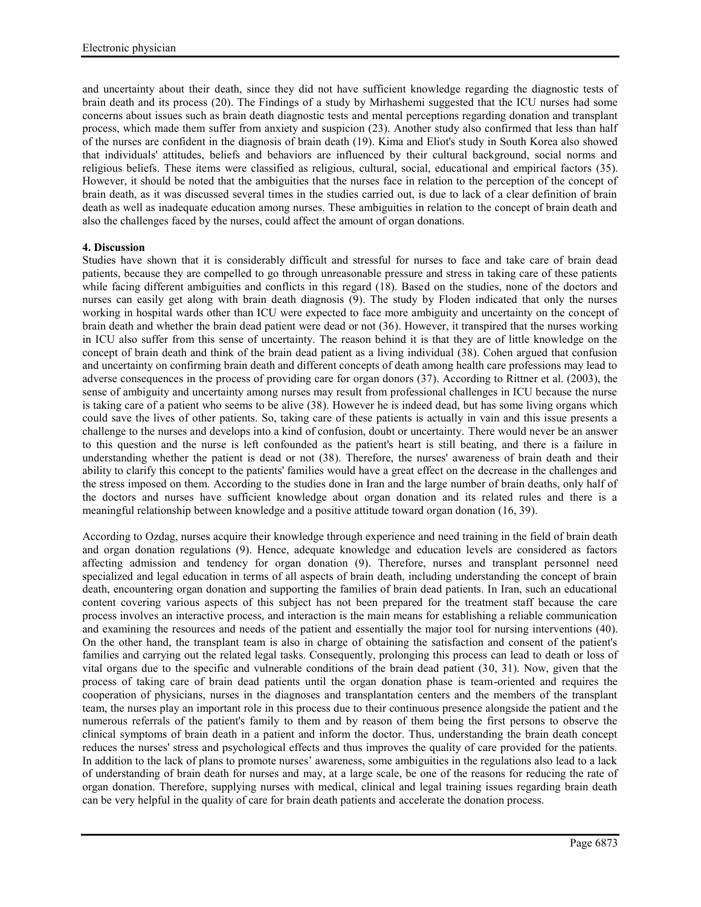and uncertainty about their death, since they did not have sufficient knowledge regarding the diagnostic tests of brain death and its process (20). The Findings of a study by Mirhashemi suggested that the ICU nurses had some concerns about issues such as brain death diagnostic tests and mental perceptions regarding donation and transplant process, which made them suffer from anxiety and suspicion (23). Another study also confirmed that less than half of the nurses are confident in the diagnosis of brain death (19). Kima and Eliot's study in South Korea also showed that individuals' attitudes, beliefs and behaviors are influenced by their cultural background, social norms and religious beliefs. These items were classified as religious, cultural, social, educational and empirical factors (35). However, it should be noted that the ambiguities that the nurses face in relation to the perception of the concept of brain death, as it was discussed several times in the studies carried out, is due to lack of a clear definition of brain death as well as inadequate education among nurses. These ambiguities in relation to the concept of brain death and also the challenges faced by the nurses, could affect the amount of organ donations.

# **4. Discussion**

Studies have shown that it is considerably difficult and stressful for nurses to face and take care of brain dead patients, because they are compelled to go through unreasonable pressure and stress in taking care of these patients while facing different ambiguities and conflicts in this regard (18). Based on the studies, none of the doctors and nurses can easily get along with brain death diagnosis (9). The study by Floden indicated that only the nurses working in hospital wards other than ICU were expected to face more ambiguity and uncertainty on the concept of brain death and whether the brain dead patient were dead or not (36). However, it transpired that the nurses working in ICU also suffer from this sense of uncertainty. The reason behind it is that they are of little knowledge on the concept of brain death and think of the brain dead patient as a living individual (38). Cohen argued that confusion and uncertainty on confirming brain death and different concepts of death among health care professions may lead to adverse consequences in the process of providing care for organ donors (37). According to Rittner et al. (2003), the sense of ambiguity and uncertainty among nurses may result from professional challenges in ICU because the nurse is taking care of a patient who seems to be alive (38). However he is indeed dead, but has some living organs which could save the lives of other patients. So, taking care of these patients is actually in vain and this issue presents a challenge to the nurses and develops into a kind of confusion, doubt or uncertainty. There would never be an answer to this question and the nurse is left confounded as the patient's heart is still beating, and there is a failure in understanding whether the patient is dead or not (38). Therefore, the nurses' awareness of brain death and their ability to clarify this concept to the patients' families would have a great effect on the decrease in the challenges and the stress imposed on them. According to the studies done in Iran and the large number of brain deaths, only half of the doctors and nurses have sufficient knowledge about organ donation and its related rules and there is a meaningful relationship between knowledge and a positive attitude toward organ donation (16, 39).

According to Ozdag, nurses acquire their knowledge through experience and need training in the field of brain death and organ donation regulations (9). Hence, adequate knowledge and education levels are considered as factors affecting admission and tendency for organ donation (9). Therefore, nurses and transplant personnel need specialized and legal education in terms of all aspects of brain death, including understanding the concept of brain death, encountering organ donation and supporting the families of brain dead patients. In Iran, such an educational content covering various aspects of this subject has not been prepared for the treatment staff because the care process involves an interactive process, and interaction is the main means for establishing a reliable communication and examining the resources and needs of the patient and essentially the major tool for nursing interventions (40). On the other hand, the transplant team is also in charge of obtaining the satisfaction and consent of the patient's families and carrying out the related legal tasks. Consequently, prolonging this process can lead to death or loss of vital organs due to the specific and vulnerable conditions of the brain dead patient (30, 31). Now, given that the process of taking care of brain dead patients until the organ donation phase is team-oriented and requires the cooperation of physicians, nurses in the diagnoses and transplantation centers and the members of the transplant team, the nurses play an important role in this process due to their continuous presence alongside the patient and the numerous referrals of the patient's family to them and by reason of them being the first persons to observe the clinical symptoms of brain death in a patient and inform the doctor. Thus, understanding the brain death concept reduces the nurses' stress and psychological effects and thus improves the quality of care provided for the patients. In addition to the lack of plans to promote nurses' awareness, some ambiguities in the regulations also lead to a lack of understanding of brain death for nurses and may, at a large scale, be one of the reasons for reducing the rate of organ donation. Therefore, supplying nurses with medical, clinical and legal training issues regarding brain death can be very helpful in the quality of care for brain death patients and accelerate the donation process.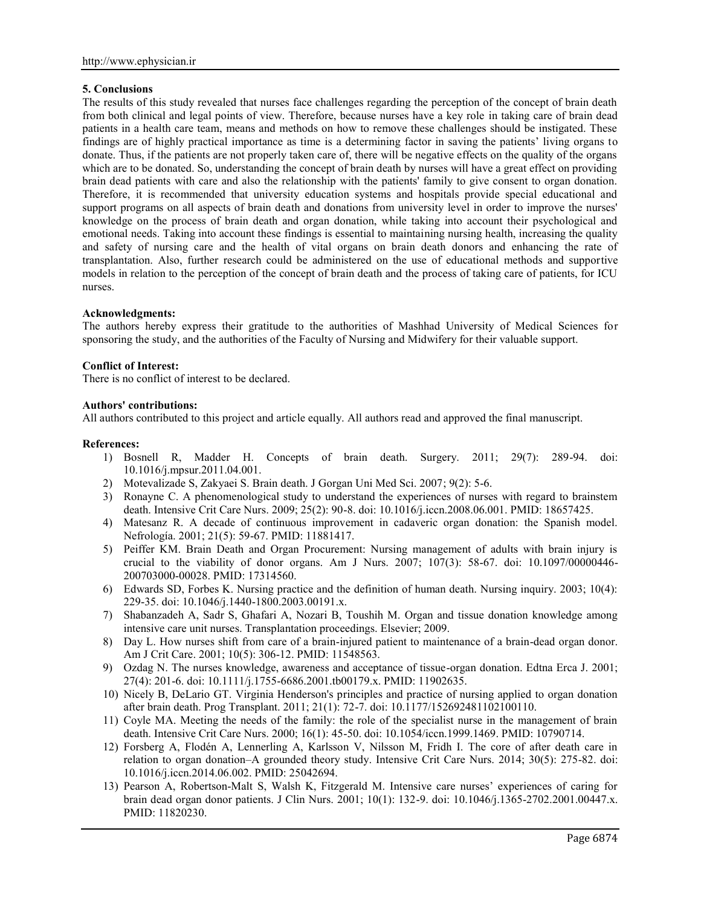### **5. Conclusions**

The results of this study revealed that nurses face challenges regarding the perception of the concept of brain death from both clinical and legal points of view. Therefore, because nurses have a key role in taking care of brain dead patients in a health care team, means and methods on how to remove these challenges should be instigated. These findings are of highly practical importance as time is a determining factor in saving the patients' living organs to donate. Thus, if the patients are not properly taken care of, there will be negative effects on the quality of the organs which are to be donated. So, understanding the concept of brain death by nurses will have a great effect on providing brain dead patients with care and also the relationship with the patients' family to give consent to organ donation. Therefore, it is recommended that university education systems and hospitals provide special educational and support programs on all aspects of brain death and donations from university level in order to improve the nurses' knowledge on the process of brain death and organ donation, while taking into account their psychological and emotional needs. Taking into account these findings is essential to maintaining nursing health, increasing the quality and safety of nursing care and the health of vital organs on brain death donors and enhancing the rate of transplantation. Also, further research could be administered on the use of educational methods and supportive models in relation to the perception of the concept of brain death and the process of taking care of patients, for ICU nurses.

### **Acknowledgments:**

The authors hereby express their gratitude to the authorities of Mashhad University of Medical Sciences for sponsoring the study, and the authorities of the Faculty of Nursing and Midwifery for their valuable support.

### **Conflict of Interest:**

There is no conflict of interest to be declared.

#### **Authors' contributions:**

All authors contributed to this project and article equally. All authors read and approved the final manuscript.

### **References:**

- 1) Bosnell R, Madder H. Concepts of brain death. Surgery. 2011; 29(7): 289-94. doi: 10.1016/j.mpsur.2011.04.001.
- 2) Motevalizade S, Zakyaei S. Brain death. J Gorgan Uni Med Sci. 2007; 9(2): 5-6.
- 3) Ronayne C. A phenomenological study to understand the experiences of nurses with regard to brainstem death. Intensive Crit Care Nurs. 2009; 25(2): 90-8. doi: 10.1016/j.iccn.2008.06.001. PMID: 18657425.
- 4) Matesanz R. A decade of continuous improvement in cadaveric organ donation: the Spanish model. Nefrología. 2001; 21(5): 59-67. PMID: 11881417.
- 5) Peiffer KM. Brain Death and Organ Procurement: Nursing management of adults with brain injury is crucial to the viability of donor organs. Am J Nurs. 2007; 107(3): 58-67. doi: 10.1097/00000446- 200703000-00028. PMID: 17314560.
- 6) Edwards SD, Forbes K. Nursing practice and the definition of human death. Nursing inquiry. 2003; 10(4): 229-35. doi: 10.1046/j.1440-1800.2003.00191.x.
- 7) Shabanzadeh A, Sadr S, Ghafari A, Nozari B, Toushih M. Organ and tissue donation knowledge among intensive care unit nurses. Transplantation proceedings. Elsevier; 2009.
- 8) Day L. How nurses shift from care of a brain-injured patient to maintenance of a brain-dead organ donor. Am J Crit Care. 2001; 10(5): 306-12. PMID: 11548563.
- 9) Ozdag N. The nurses knowledge, awareness and acceptance of tissue-organ donation. Edtna Erca J. 2001; 27(4): 201-6. doi: 10.1111/j.1755-6686.2001.tb00179.x. PMID: 11902635.
- 10) Nicely B, DeLario GT. Virginia Henderson's principles and practice of nursing applied to organ donation after brain death. Prog Transplant. 2011; 21(1): 72-7. doi: 10.1177/152692481102100110.
- 11) Coyle MA. Meeting the needs of the family: the role of the specialist nurse in the management of brain death. Intensive Crit Care Nurs. 2000; 16(1): 45-50. doi: 10.1054/iccn.1999.1469. PMID: 10790714.
- 12) Forsberg A, Flodén A, Lennerling A, Karlsson V, Nilsson M, Fridh I. The core of after death care in relation to organ donation–A grounded theory study. Intensive Crit Care Nurs. 2014; 30(5): 275-82. doi: 10.1016/j.iccn.2014.06.002. PMID: 25042694.
- 13) Pearson A, Robertson-Malt S, Walsh K, Fitzgerald M. Intensive care nurses' experiences of caring for brain dead organ donor patients. J Clin Nurs. 2001; 10(1): 132-9. doi: 10.1046/j.1365-2702.2001.00447.x. PMID: 11820230.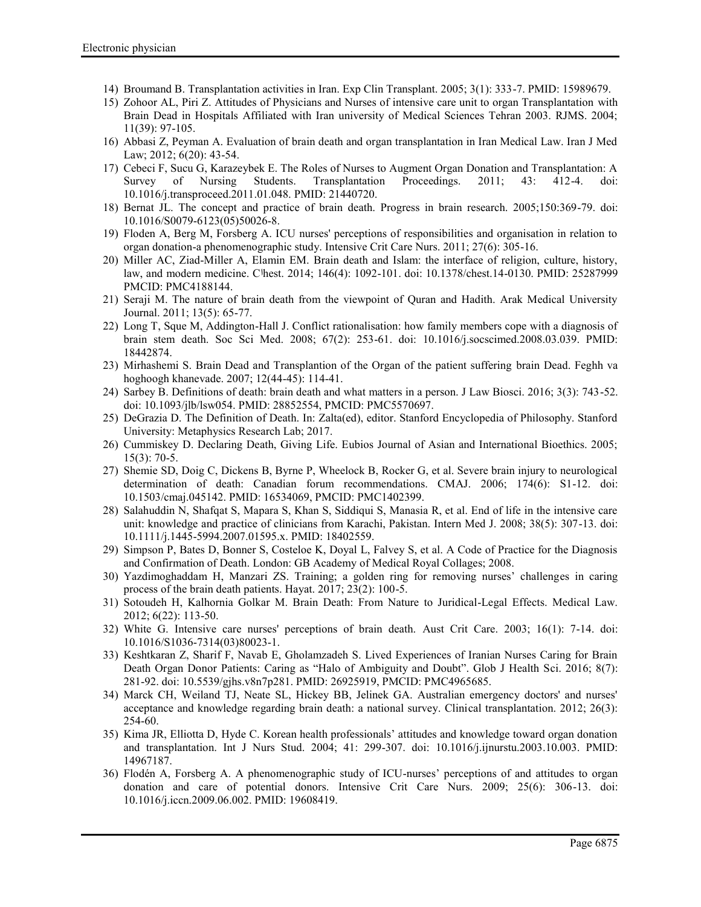- 14) Broumand B. Transplantation activities in Iran. Exp Clin Transplant. 2005; 3(1): 333-7. PMID: 15989679.
- 15) Zohoor AL, Piri Z. Attitudes of Physicians and Nurses of intensive care unit to organ Transplantation with Brain Dead in Hospitals Affiliated with Iran university of Medical Sciences Tehran 2003. RJMS. 2004; 11(39): 97-105.
- 16) Abbasi Z, Peyman A. Evaluation of brain death and organ transplantation in Iran Medical Law. Iran J Med Law; 2012; 6(20): 43-54.
- 17) Cebeci F, Sucu G, Karazeybek E. The Roles of Nurses to Augment Organ Donation and Transplantation: A Survey of Nursing Students. Transplantation Proceedings. 2011; 43: 412-4. doi: 10.1016/j.transproceed.2011.01.048. PMID: 21440720.
- 18) Bernat JL. The concept and practice of brain death. Progress in brain research. 2005;150:369-79. doi: 10.1016/S0079-6123(05)50026-8.
- 19) Floden A, Berg M, Forsberg A. ICU nurses' perceptions of responsibilities and organisation in relation to organ donation-a phenomenographic study. Intensive Crit Care Nurs. 2011; 27(6): 305-16.
- 20) Miller AC, Ziad-Miller A, Elamin EM. Brain death and Islam: the interface of religion, culture, history, law, and modern medicine. Cاhest. 2014; 146(4): 1092-101. doi: 10.1378/chest.14-0130. PMID: 25287999 PMCID: PMC4188144.
- 21) Seraji M. The nature of brain death from the viewpoint of Quran and Hadith. Arak Medical University Journal. 2011; 13(5): 65-77.
- 22) Long T, Sque M, Addington-Hall J. Conflict rationalisation: how family members cope with a diagnosis of brain stem death. Soc Sci Med. 2008; 67(2): 253-61. doi: 10.1016/j.socscimed.2008.03.039. PMID: 18442874.
- 23) Mirhashemi S. Brain Dead and Transplantion of the Organ of the patient suffering brain Dead. Feghh va hoghoogh khanevade. 2007; 12(44-45): 114-41.
- 24) Sarbey B. Definitions of death: brain death and what matters in a person. J Law Biosci. 2016; 3(3): 743-52. doi: 10.1093/jlb/lsw054. PMID: 28852554, PMCID: PMC5570697.
- 25) DeGrazia D. The Definition of Death. In: Zalta(ed), editor. Stanford Encyclopedia of Philosophy. Stanford University: Metaphysics Research Lab; 2017.
- 26) Cummiskey D. Declaring Death, Giving Life. Eubios Journal of Asian and International Bioethics. 2005; 15(3): 70-5.
- 27) Shemie SD, Doig C, Dickens B, Byrne P, Wheelock B, Rocker G, et al. Severe brain injury to neurological determination of death: Canadian forum recommendations. CMAJ. 2006; 174(6): S1-12. doi: 10.1503/cmaj.045142. PMID: 16534069, PMCID: PMC1402399.
- 28) Salahuddin N, Shafqat S, Mapara S, Khan S, Siddiqui S, Manasia R, et al. End of life in the intensive care unit: knowledge and practice of clinicians from Karachi, Pakistan. Intern Med J. 2008; 38(5): 307-13. doi: 10.1111/j.1445-5994.2007.01595.x. PMID: 18402559.
- 29) Simpson P, Bates D, Bonner S, Costeloe K, Doyal L, Falvey S, et al. A Code of Practice for the Diagnosis and Confirmation of Death. London: GB Academy of Medical Royal Collages; 2008.
- 30) Yazdimoghaddam H, Manzari ZS. Training; a golden ring for removing nurses' challenges in caring process of the brain death patients. Hayat. 2017; 23(2): 100-5.
- 31) Sotoudeh H, Kalhornia Golkar M. Brain Death: From Nature to Juridical-Legal Effects. Medical Law. 2012; 6(22): 113-50.
- 32) White G. Intensive care nurses' perceptions of brain death. Aust Crit Care. 2003; 16(1): 7-14. doi: 10.1016/S1036-7314(03)80023-1.
- 33) Keshtkaran Z, Sharif F, Navab E, Gholamzadeh S. Lived Experiences of Iranian Nurses Caring for Brain Death Organ Donor Patients: Caring as "Halo of Ambiguity and Doubt". Glob J Health Sci. 2016; 8(7): 281-92. doi: 10.5539/gjhs.v8n7p281. PMID: 26925919, PMCID: PMC4965685.
- 34) Marck CH, Weiland TJ, Neate SL, Hickey BB, Jelinek GA. Australian emergency doctors' and nurses' acceptance and knowledge regarding brain death: a national survey. Clinical transplantation. 2012; 26(3): 254-60.
- 35) Kima JR, Elliotta D, Hyde C. Korean health professionals' attitudes and knowledge toward organ donation and transplantation. Int J Nurs Stud. 2004; 41: 299-307. doi: 10.1016/j.ijnurstu.2003.10.003. PMID: 14967187.
- 36) Flodén A, Forsberg A. A phenomenographic study of ICU-nurses' perceptions of and attitudes to organ donation and care of potential donors. Intensive Crit Care Nurs. 2009; 25(6): 306-13. doi: 10.1016/j.iccn.2009.06.002. PMID: 19608419.